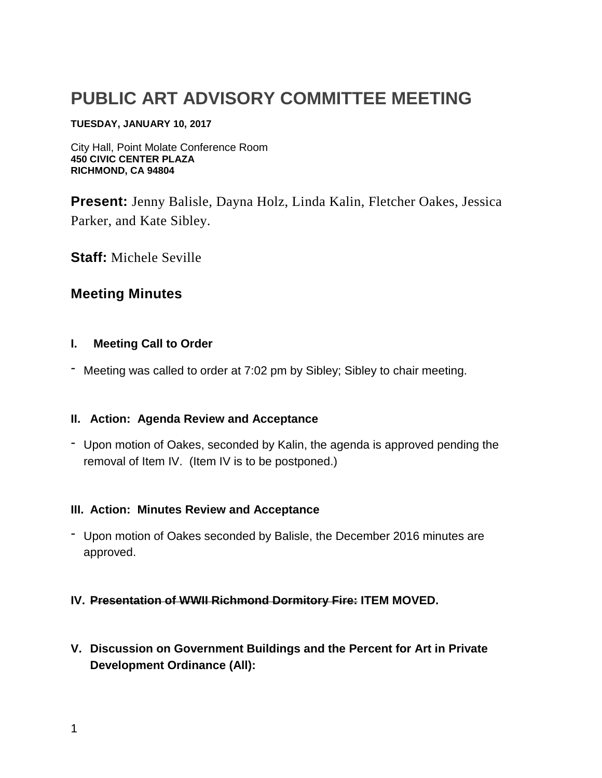# **PUBLIC ART ADVISORY COMMITTEE MEETING**

#### **TUESDAY, JANUARY 10, 2017**

City Hall, Point Molate Conference Room **450 CIVIC CENTER PLAZA RICHMOND, CA 94804**

**Present:** Jenny Balisle, Dayna Holz, Linda Kalin, Fletcher Oakes, Jessica Parker, and Kate Sibley.

**Staff:** Michele Seville

# **Meeting Minutes**

#### **I. Meeting Call to Order**

- Meeting was called to order at 7:02 pm by Sibley; Sibley to chair meeting.

## **II. Action: Agenda Review and Acceptance**

- Upon motion of Oakes, seconded by Kalin, the agenda is approved pending the removal of Item IV. (Item IV is to be postponed.)

#### **III. Action: Minutes Review and Acceptance**

- Upon motion of Oakes seconded by Balisle, the December 2016 minutes are approved.

#### **IV. Presentation of WWII Richmond Dormitory Fire: ITEM MOVED.**

**V. Discussion on Government Buildings and the Percent for Art in Private Development Ordinance (All):**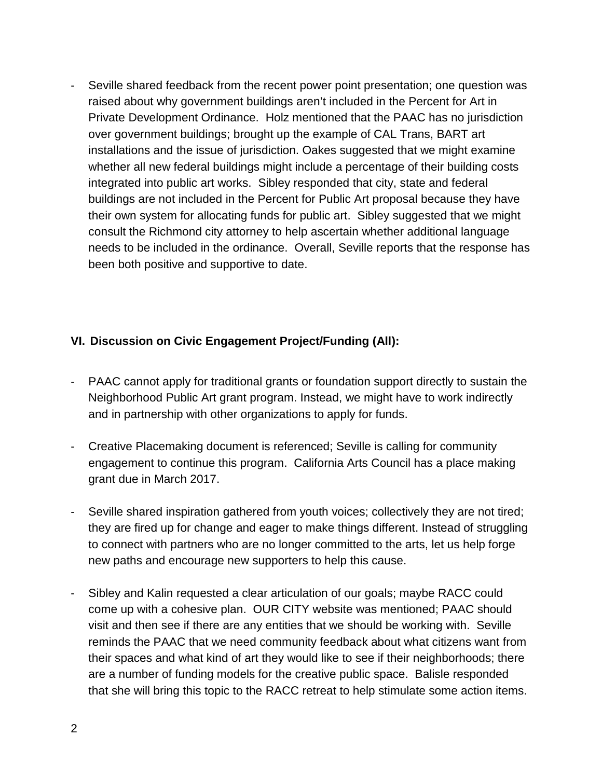- Seville shared feedback from the recent power point presentation; one question was raised about why government buildings aren't included in the Percent for Art in Private Development Ordinance. Holz mentioned that the PAAC has no jurisdiction over government buildings; brought up the example of CAL Trans, BART art installations and the issue of jurisdiction. Oakes suggested that we might examine whether all new federal buildings might include a percentage of their building costs integrated into public art works. Sibley responded that city, state and federal buildings are not included in the Percent for Public Art proposal because they have their own system for allocating funds for public art. Sibley suggested that we might consult the Richmond city attorney to help ascertain whether additional language needs to be included in the ordinance. Overall, Seville reports that the response has been both positive and supportive to date.

## **VI. Discussion on Civic Engagement Project/Funding (All):**

- PAAC cannot apply for traditional grants or foundation support directly to sustain the Neighborhood Public Art grant program. Instead, we might have to work indirectly and in partnership with other organizations to apply for funds.
- Creative Placemaking document is referenced; Seville is calling for community engagement to continue this program. California Arts Council has a place making grant due in March 2017.
- Seville shared inspiration gathered from youth voices; collectively they are not tired; they are fired up for change and eager to make things different. Instead of struggling to connect with partners who are no longer committed to the arts, let us help forge new paths and encourage new supporters to help this cause.
- Sibley and Kalin requested a clear articulation of our goals; maybe RACC could come up with a cohesive plan. OUR CITY website was mentioned; PAAC should visit and then see if there are any entities that we should be working with. Seville reminds the PAAC that we need community feedback about what citizens want from their spaces and what kind of art they would like to see if their neighborhoods; there are a number of funding models for the creative public space. Balisle responded that she will bring this topic to the RACC retreat to help stimulate some action items.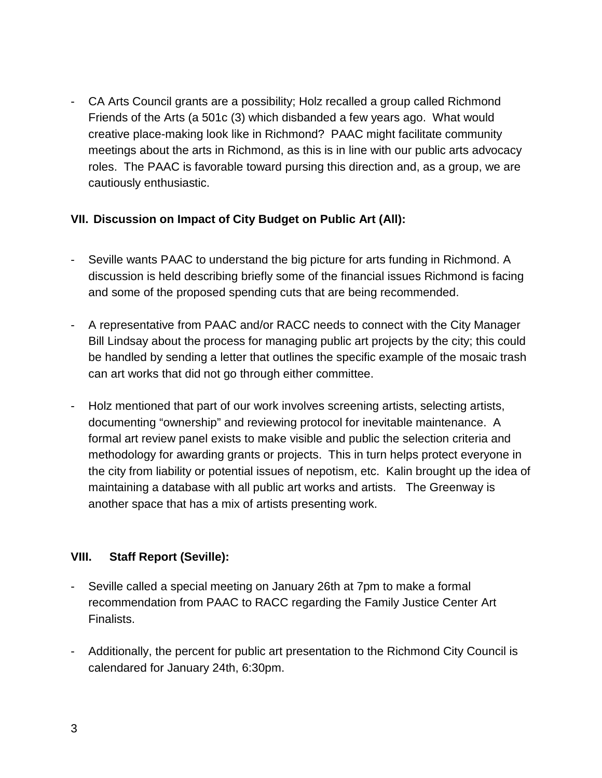- CA Arts Council grants are a possibility; Holz recalled a group called Richmond Friends of the Arts (a 501c (3) which disbanded a few years ago. What would creative place-making look like in Richmond? PAAC might facilitate community meetings about the arts in Richmond, as this is in line with our public arts advocacy roles. The PAAC is favorable toward pursing this direction and, as a group, we are cautiously enthusiastic.

# **VII. Discussion on Impact of City Budget on Public Art (All):**

- Seville wants PAAC to understand the big picture for arts funding in Richmond. A discussion is held describing briefly some of the financial issues Richmond is facing and some of the proposed spending cuts that are being recommended.
- A representative from PAAC and/or RACC needs to connect with the City Manager Bill Lindsay about the process for managing public art projects by the city; this could be handled by sending a letter that outlines the specific example of the mosaic trash can art works that did not go through either committee.
- Holz mentioned that part of our work involves screening artists, selecting artists, documenting "ownership" and reviewing protocol for inevitable maintenance. A formal art review panel exists to make visible and public the selection criteria and methodology for awarding grants or projects. This in turn helps protect everyone in the city from liability or potential issues of nepotism, etc. Kalin brought up the idea of maintaining a database with all public art works and artists. The Greenway is another space that has a mix of artists presenting work.

## **VIII. Staff Report (Seville):**

- Seville called a special meeting on January 26th at 7pm to make a formal recommendation from PAAC to RACC regarding the Family Justice Center Art Finalists.
- Additionally, the percent for public art presentation to the Richmond City Council is calendared for January 24th, 6:30pm.